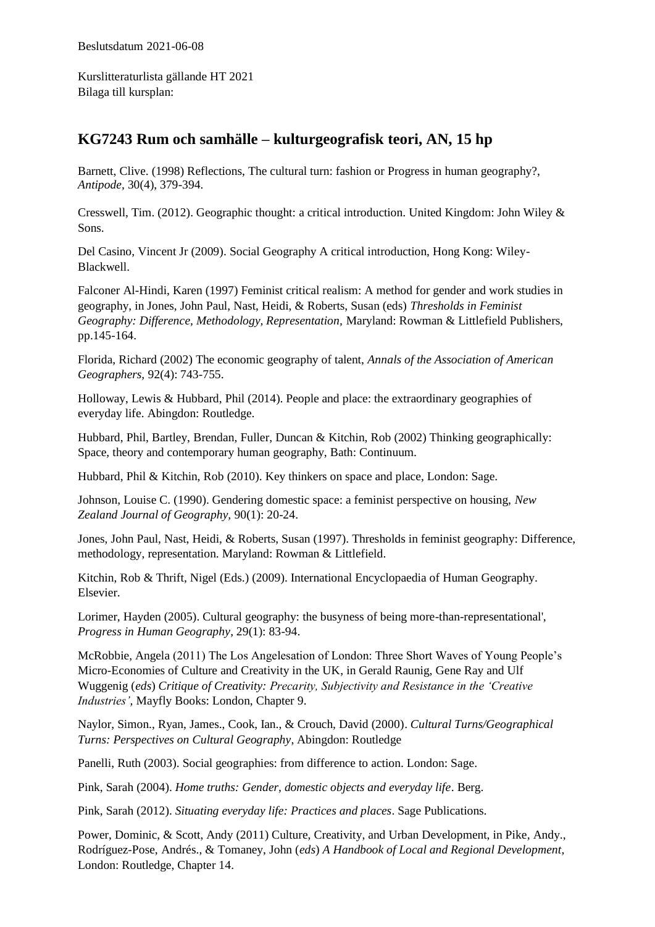Kurslitteraturlista gällande HT 2021 Bilaga till kursplan:

## **KG7243 Rum och samhälle – kulturgeografisk teori, AN, 15 hp**

Barnett, Clive. (1998) Reflections, The cultural turn: fashion or Progress in human geography?, *Antipode,* 30(4), 379-394.

Cresswell, Tim. (2012). Geographic thought: a critical introduction. United Kingdom: John Wiley & Sons.

Del Casino, Vincent Jr (2009). Social Geography A critical introduction, Hong Kong: Wiley-Blackwell.

Falconer Al-Hindi, Karen (1997) Feminist critical realism: A method for gender and work studies in geography, in Jones, John Paul, Nast, Heidi, & Roberts, Susan (eds) *Thresholds in Feminist Geography: Difference, Methodology, Representation,* Maryland: Rowman & Littlefield Publishers, pp.145-164.

Florida, Richard (2002) The economic geography of talent, *Annals of the Association of American Geographers,* 92(4): 743-755.

Holloway, Lewis & Hubbard, Phil (2014). People and place: the extraordinary geographies of everyday life. Abingdon: Routledge.

Hubbard, Phil, Bartley, Brendan, Fuller, Duncan & Kitchin, Rob (2002) Thinking geographically: Space, theory and contemporary human geography, Bath: Continuum.

Hubbard, Phil & Kitchin, Rob (2010). Key thinkers on space and place, London: Sage.

Johnson, Louise C. (1990). Gendering domestic space: a feminist perspective on housing, *New Zealand Journal of Geography,* 90(1): 20-24.

Jones, John Paul, Nast, Heidi, & Roberts, Susan (1997). Thresholds in feminist geography: Difference, methodology, representation. Maryland: Rowman & Littlefield.

Kitchin, Rob & Thrift, Nigel (Eds.) (2009). International Encyclopaedia of Human Geography. Elsevier.

Lorimer, Hayden (2005). Cultural geography: the busyness of being more-than-representational', *Progress in Human Geography*, 29(1): 83-94.

McRobbie, Angela (2011) The Los Angelesation of London: Three Short Waves of Young People's Micro-Economies of Culture and Creativity in the UK, in Gerald Raunig, Gene Ray and Ulf Wuggenig (*eds*) *Critique of Creativity: Precarity, Subjectivity and Resistance in the 'Creative Industries',* Mayfly Books: London, Chapter 9.

Naylor, Simon., Ryan, James., Cook, Ian., & Crouch, David (2000). *Cultural Turns/Geographical Turns: Perspectives on Cultural Geography*, Abingdon: Routledge

Panelli, Ruth (2003). Social geographies: from difference to action. London: Sage.

Pink, Sarah (2004). *Home truths: Gender, domestic objects and everyday life*. Berg.

Pink, Sarah (2012). *Situating everyday life: Practices and places*. Sage Publications.

Power, Dominic, & Scott, Andy (2011) Culture, Creativity, and Urban Development, in Pike, Andy., Rodríguez-Pose, Andrés., & Tomaney, John (*eds*) *A Handbook of Local and Regional Development*, London: Routledge, Chapter 14.